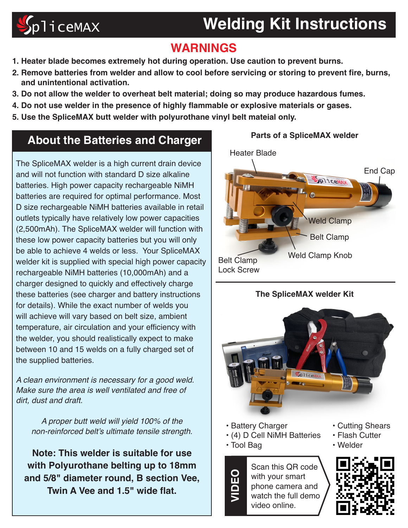# $\mathcal{S}$ pliceMAX

### **Welding Kit Instructions**

### **WARNINGS**

- **1. Heater blade becomes extremely hot during operation. Use caution to prevent burns.**
- **2. Remove batteries from welder and allow to cool before servicing or storing to prevent fire, burns, and unintentional activation.**
- **3. Do not allow the welder to overheat belt material; doing so may produce hazardous fumes.**
- **4. Do not use welder in the presence of highly flammable or explosive materials or gases.**
- **5. Use the SpliceMAX butt welder with polyurothane vinyl belt mateial only.**

#### **About the Batteries and Charger**

The SpliceMAX welder is a high current drain device and will not function with standard D size alkaline batteries. High power capacity rechargeable NiMH batteries are required for optimal performance. Most D size rechargeable NiMH batteries available in retail outlets typically have relatively low power capacities (2,500mAh). The SpliceMAX welder will function with these low power capacity batteries but you will only be able to achieve 4 welds or less. Your SpliceMAX welder kit is supplied with special high power capacity rechargeable NiMH batteries (10,000mAh) and a charger designed to quickly and effectively charge these batteries (see charger and battery instructions for details). While the exact number of welds you will achieve will vary based on belt size, ambient temperature, air circulation and your efficiency with the welder, you should realistically expect to make between 10 and 15 welds on a fully charged set of the supplied batteries.

A clean environment is necessary for a good weld. Make sure the area is well ventilated and free of dirt, dust and draft.

A proper butt weld will yield 100% of the non-reinforced belt's ultimate tensile strength.

**Note: This welder is suitable for use with Polyurothane belting up to 18mm and 5/8" diameter round, B section Vee, Twin A Vee and 1.5" wide flat.** 





- **•** Battery Charger
- **•** (4) D Cell NiMH Batteries
- **•** Tool Bag

**VIDEO**

Scan this QR code with your smart phone camera and watch the full demo video online.

- **•** Cutting Shears
- **•** Flash Cutter
- **•** Welder